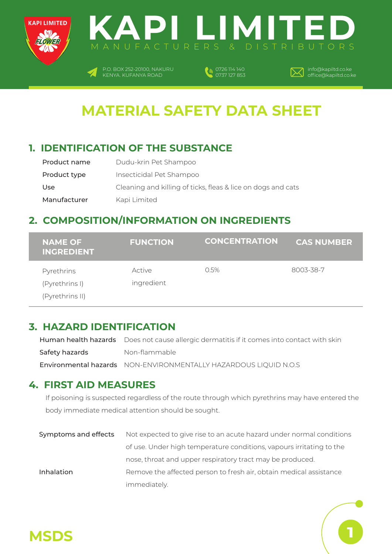



P.O. BOX 252-20100, NAKURU  $\boldsymbol{Z}$ KENYA. KUFANYA ROAD

0726 114 140 0737 127 853



**1**

### **MATERIAL SAFETY DATA SHEET**

#### **1. IDENTIFICATION OF THE SUBSTANCE**

| Product name | Dudu-krin Pet Shampoo                                        |
|--------------|--------------------------------------------------------------|
| Product type | Insecticidal Pet Shampoo                                     |
| Use          | Cleaning and killing of ticks, fleas & lice on dogs and cats |
| Manufacturer | Kapi Limited                                                 |

#### **2. COMPOSITION/INFORMATION ON INGREDIENTS**

| <b>NAME OF</b><br><b>INGREDIENT</b> | <b>FUNCTION</b>      | <b>CONCENTRATION</b> | <b>CAS NUMBER</b> |
|-------------------------------------|----------------------|----------------------|-------------------|
| Pyrethrins<br>(Pyrethrins I)        | Active<br>ingredient | 0.5%                 | 8003-38-7         |
| (Pyrethrins II)                     |                      |                      |                   |

#### **3. HAZARD IDENTIFICATION**

Human health hazards Does not cause allergic dermatitis if it comes into contact with skin Non-flammable Environmental hazards NON-ENVIRONMENTALLY HAZARDOUS LIQUID N.O.S Safety hazards

#### **4. FIRST AID MEASURES**

If poisoning is suspected regardless of the route through which pyrethrins may have entered the body immediate medical attention should be sought.

Symptoms and effects Inhalation Not expected to give rise to an acute hazard under normal conditions of use. Under high temperature conditions, vapours irritating to the nose, throat and upper respiratory tract may be produced. Remove the affected person to fresh air, obtain medical assistance immediately.

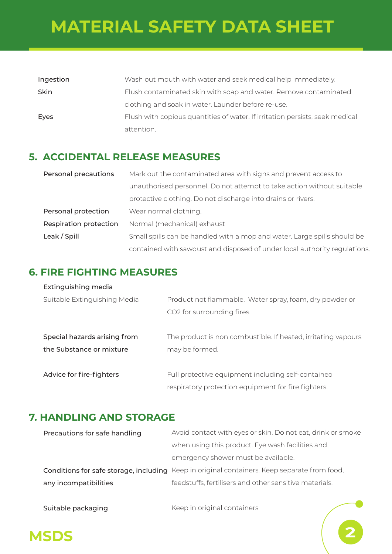## **MATERIAL SAFETY DATA SHEET**

| Ingestion   | Wash out mouth with water and seek medical help immediately.                 |
|-------------|------------------------------------------------------------------------------|
| <b>Skin</b> | Flush contaminated skin with soap and water. Remove contaminated             |
|             | clothing and soak in water. Launder before re-use.                           |
| Eyes        | Flush with copious quantities of water. If irritation persists, seek medical |
|             | attention.                                                                   |

#### **5. ACCIDENTAL RELEASE MEASURES**

| Personal precautions   | Mark out the contaminated area with signs and prevent access to           |
|------------------------|---------------------------------------------------------------------------|
|                        | unauthorised personnel. Do not attempt to take action without suitable    |
|                        | protective clothing. Do not discharge into drains or rivers.              |
| Personal protection    | Wear normal clothing.                                                     |
| Respiration protection | Normal (mechanical) exhaust                                               |
| Leak / Spill           | Small spills can be handled with a mop and water. Large spills should be  |
|                        | contained with sawdust and disposed of under local authority regulations. |

#### **6. FIRE FIGHTING MEASURES**

#### Extinguishing media

| Suitable Extinguishing Media                             | Product not flammable. Water spray, foam, dry powder or<br>CO2 for surrounding fires.                     |
|----------------------------------------------------------|-----------------------------------------------------------------------------------------------------------|
| Special hazards arising from<br>the Substance or mixture | The product is non combustible. If heated, irritating vapours<br>may be formed.                           |
| Advice for fire-fighters                                 | Full protective equipment including self-contained<br>respiratory protection equipment for fire fighters. |

#### **7. HANDLING AND STORAGE**

| Precautions for safe handling | Avoid contact with eyes or skin. Do not eat, drink or smoke                                  |
|-------------------------------|----------------------------------------------------------------------------------------------|
|                               | when using this product. Eye wash facilities and                                             |
|                               | emergency shower must be available.                                                          |
|                               | Conditions for safe storage, including Keep in original containers. Keep separate from food, |
| any incompatibilities         | feedstuffs, fertilisers and other sensitive materials.                                       |
|                               |                                                                                              |

Suitable packaging

Keep in original containers

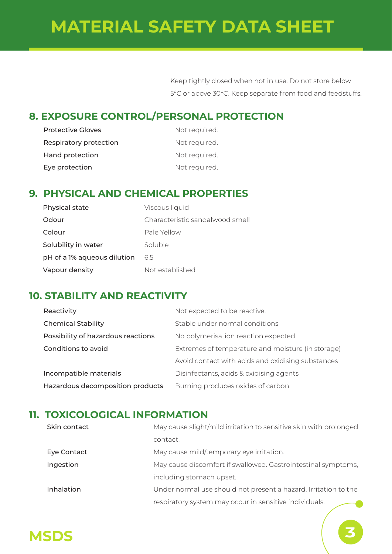## **MATERIAL SAFETY DATA SHEET**

Keep tightly closed when not in use. Do not store below 5ºC or above 30ºC. Keep separate from food and feedstuffs.

#### **8. EXPOSURE CONTROL/PERSONAL PROTECTION**

| <b>Protective Gloves</b> | Not required. |
|--------------------------|---------------|
| Respiratory protection   | Not required. |
| Hand protection          | Not required. |
| Eye protection           | Not required. |

#### **9. PHYSICAL AND CHEMICAL PROPERTIES**

| Physical state              | Viscous liquid                  |
|-----------------------------|---------------------------------|
| Odour                       | Characteristic sandalwood smell |
| Colour                      | Pale Yellow                     |
| Solubility in water         | Soluble                         |
| pH of a 1% aqueous dilution | 6.5                             |
| Vapour density              | Not established                 |

#### **10. STABILITY AND REACTIVITY**

| Reactivity                         | Not expected to be reactive.                      |
|------------------------------------|---------------------------------------------------|
| <b>Chemical Stability</b>          | Stable under normal conditions                    |
| Possibility of hazardous reactions | No polymerisation reaction expected               |
| Conditions to avoid                | Extremes of temperature and moisture (in storage) |
|                                    | Avoid contact with acids and oxidising substances |
| Incompatible materials             | Disinfectants, acids & oxidising agents           |
| Hazardous decomposition products   | Burning produces oxides of carbon                 |

#### **11. TOXICOLOGICAL INFORMATION**

| Skin contact      | May cause slight/mild irritation to sensitive skin with prolonged |
|-------------------|-------------------------------------------------------------------|
|                   | contact.                                                          |
| Eye Contact       | May cause mild/temporary eye irritation.                          |
| Ingestion         | May cause discomfort if swallowed. Gastrointestinal symptoms,     |
|                   | including stomach upset.                                          |
| <b>Inhalation</b> | Under normal use should not present a hazard. Irritation to the   |
|                   | respiratory system may occur in sensitive individuals.            |

# **MSDS 3**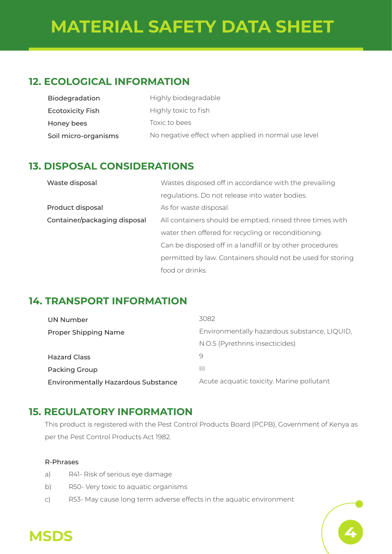### **12. ECOLOGICAL INFORMATION**

| Biodegradation          | Highly biodegradable                                |
|-------------------------|-----------------------------------------------------|
| <b>Ecotoxicity Fish</b> | Highly toxic to fish                                |
| Honey bees              | Toxic to bees                                       |
| Soil micro-organisms    | No negative effect when applied in normal use level |

#### **13. DISPOSAL CONSIDERATIONS**

| Waste disposal               | Wastes disposed off in accordance with the prevailing       |
|------------------------------|-------------------------------------------------------------|
|                              | regulations. Do not release into water bodies.              |
| Product disposal             | As for waste disposal.                                      |
| Container/packaging disposal | All containers should be emptied, rinsed three times with   |
|                              | water then offered for recycling or reconditioning.         |
|                              | Can be disposed off in a landfill or by other procedures    |
|                              | permitted by law. Containers should not be used for storing |
|                              | food or drinks.                                             |

### **14. TRANSPORT INFORMATION**

| UN Number                                  | 3082                                         |
|--------------------------------------------|----------------------------------------------|
| <b>Proper Shipping Name</b>                | Environmentally hazardous substance, LIQUID, |
|                                            | N.O.S (Pyrethrins insecticides)              |
| <b>Hazard Class</b>                        | Ч                                            |
| <b>Packing Group</b>                       | Ш                                            |
| <b>Environmentally Hazardous Substance</b> | Acute acquatic toxicity. Marine pollutant    |

### **15. REGULATORY INFORMATION**

This product is registered with the Pest Control Products Board (PCPB), Government of Kenya as per the Pest Control Products Act 1982.

#### R-Phrases

- a) R41- Risk of serious eye damage
- b) R50- Very toxic to aquatic organisms
- c) R53- May cause long term adverse effects in the aquatic environment